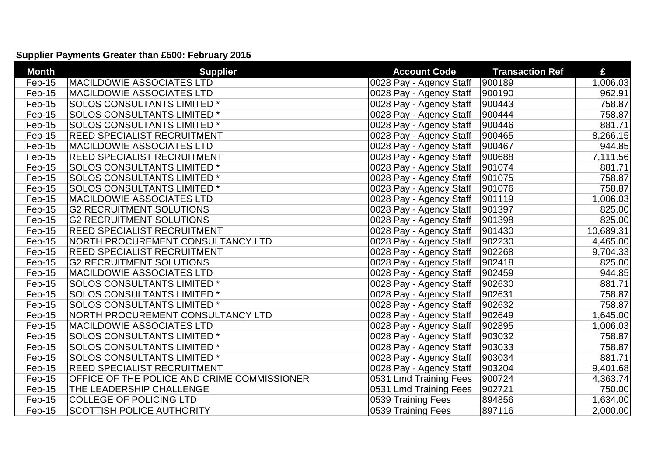## **Supplier Payments Greater than £500: February 2015**

| <b>Month</b> | <b>Supplier</b>                             | <b>Account Code</b>     | <b>Transaction Ref</b> | £         |
|--------------|---------------------------------------------|-------------------------|------------------------|-----------|
| Feb-15       | <b>MACILDOWIE ASSOCIATES LTD</b>            | 0028 Pay - Agency Staff | 900189                 | 1,006.03  |
| Feb-15       | <b>MACILDOWIE ASSOCIATES LTD</b>            | 0028 Pay - Agency Staff | 900190                 | 962.91    |
| Feb-15       | <b>SOLOS CONSULTANTS LIMITED*</b>           | 0028 Pay - Agency Staff | 900443                 | 758.87    |
| Feb-15       | <b>SOLOS CONSULTANTS LIMITED*</b>           | 0028 Pay - Agency Staff | 900444                 | 758.87    |
| Feb-15       | <b>SOLOS CONSULTANTS LIMITED*</b>           | 0028 Pay - Agency Staff | 900446                 | 881.71    |
| Feb-15       | <b>REED SPECIALIST RECRUITMENT</b>          | 0028 Pay - Agency Staff | 900465                 | 8,266.15  |
| Feb-15       | <b>MACILDOWIE ASSOCIATES LTD</b>            | 0028 Pay - Agency Staff | 900467                 | 944.85    |
| Feb-15       | <b>REED SPECIALIST RECRUITMENT</b>          | 0028 Pay - Agency Staff | 900688                 | 7,111.56  |
| Feb-15       | <b>SOLOS CONSULTANTS LIMITED *</b>          | 0028 Pay - Agency Staff | 901074                 | 881.71    |
| Feb-15       | <b>SOLOS CONSULTANTS LIMITED *</b>          | 0028 Pay - Agency Staff | 901075                 | 758.87    |
| Feb-15       | <b>SOLOS CONSULTANTS LIMITED*</b>           | 0028 Pay - Agency Staff | 901076                 | 758.87    |
| Feb-15       | <b>MACILDOWIE ASSOCIATES LTD</b>            | 0028 Pay - Agency Staff | 901119                 | 1,006.03  |
| Feb-15       | <b>G2 RECRUITMENT SOLUTIONS</b>             | 0028 Pay - Agency Staff | 901397                 | 825.00    |
| Feb-15       | <b>G2 RECRUITMENT SOLUTIONS</b>             | 0028 Pay - Agency Staff | 901398                 | 825.00    |
| Feb-15       | <b>REED SPECIALIST RECRUITMENT</b>          | 0028 Pay - Agency Staff | 901430                 | 10,689.31 |
| Feb-15       | <b>NORTH PROCUREMENT CONSULTANCY LTD</b>    | 0028 Pay - Agency Staff | 902230                 | 4,465.00  |
| Feb-15       | <b>REED SPECIALIST RECRUITMENT</b>          | 0028 Pay - Agency Staff | 902268                 | 9,704.33  |
| Feb-15       | <b>G2 RECRUITMENT SOLUTIONS</b>             | 0028 Pay - Agency Staff | 902418                 | 825.00    |
| Feb-15       | <b>MACILDOWIE ASSOCIATES LTD</b>            | 0028 Pay - Agency Staff | 902459                 | 944.85    |
| Feb-15       | <b>SOLOS CONSULTANTS LIMITED *</b>          | 0028 Pay - Agency Staff | 902630                 | 881.71    |
| Feb-15       | <b>SOLOS CONSULTANTS LIMITED *</b>          | 0028 Pay - Agency Staff | 902631                 | 758.87    |
| Feb-15       | <b>SOLOS CONSULTANTS LIMITED*</b>           | 0028 Pay - Agency Staff | 902632                 | 758.87    |
| Feb-15       | NORTH PROCUREMENT CONSULTANCY LTD           | 0028 Pay - Agency Staff | 902649                 | 1,645.00  |
| Feb-15       | <b>MACILDOWIE ASSOCIATES LTD</b>            | 0028 Pay - Agency Staff | 902895                 | 1,006.03  |
| Feb-15       | <b>SOLOS CONSULTANTS LIMITED*</b>           | 0028 Pay - Agency Staff | 903032                 | 758.87    |
| Feb-15       | <b>SOLOS CONSULTANTS LIMITED*</b>           | 0028 Pay - Agency Staff | 903033                 | 758.87    |
| Feb-15       | <b>SOLOS CONSULTANTS LIMITED*</b>           | 0028 Pay - Agency Staff | 903034                 | 881.71    |
| Feb-15       | <b>REED SPECIALIST RECRUITMENT</b>          | 0028 Pay - Agency Staff | 903204                 | 9,401.68  |
| Feb-15       | OFFICE OF THE POLICE AND CRIME COMMISSIONER | 0531 Lmd Training Fees  | 900724                 | 4,363.74  |
| Feb-15       | THE LEADERSHIP CHALLENGE                    | 0531 Lmd Training Fees  | 902721                 | 750.00    |
| Feb-15       | <b>COLLEGE OF POLICING LTD</b>              | 0539 Training Fees      | 894856                 | 1,634.00  |
| Feb-15       | <b>SCOTTISH POLICE AUTHORITY</b>            | 0539 Training Fees      | 897116                 | 2,000.00  |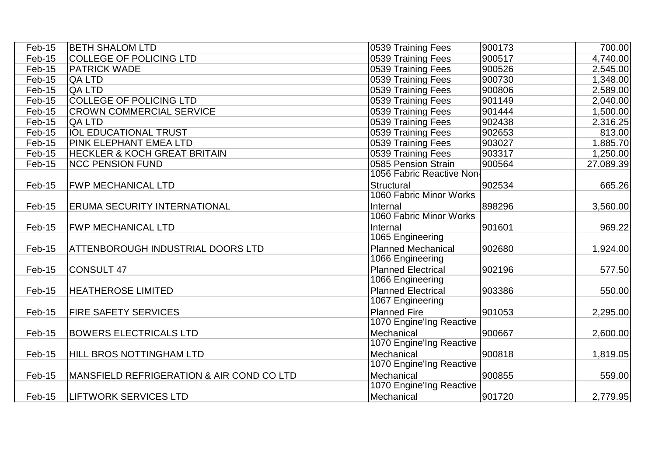| Feb-15 | <b>BETH SHALOM LTD</b>                               | 0539 Training Fees        | 900173 | 700.00    |
|--------|------------------------------------------------------|---------------------------|--------|-----------|
| Feb-15 | <b>COLLEGE OF POLICING LTD</b>                       | 0539 Training Fees        | 900517 | 4,740.00  |
| Feb-15 | <b>PATRICK WADE</b>                                  | 0539 Training Fees        | 900526 | 2,545.00  |
| Feb-15 | <b>QA LTD</b>                                        | 0539 Training Fees        | 900730 | 1,348.00  |
| Feb-15 | <b>QA LTD</b>                                        | 0539 Training Fees        | 900806 | 2,589.00  |
| Feb-15 | <b>COLLEGE OF POLICING LTD</b>                       | 0539 Training Fees        | 901149 | 2,040.00  |
| Feb-15 | <b>CROWN COMMERCIAL SERVICE</b>                      | 0539 Training Fees        | 901444 | 1,500.00  |
| Feb-15 | <b>QA LTD</b>                                        | 0539 Training Fees        | 902438 | 2,316.25  |
| Feb-15 | <b>IOL EDUCATIONAL TRUST</b>                         | 0539 Training Fees        | 902653 | 813.00    |
| Feb-15 | <b>PINK ELEPHANT EMEA LTD</b>                        | 0539 Training Fees        | 903027 | 1,885.70  |
| Feb-15 | <b>HECKLER &amp; KOCH GREAT BRITAIN</b>              | 0539 Training Fees        | 903317 | 1,250.00  |
| Feb-15 | <b>NCC PENSION FUND</b>                              | 0585 Pension Strain       | 900564 | 27,089.39 |
|        |                                                      | 1056 Fabric Reactive Non- |        |           |
| Feb-15 | <b>FWP MECHANICAL LTD</b>                            | Structural                | 902534 | 665.26    |
|        |                                                      | 1060 Fabric Minor Works   |        |           |
| Feb-15 | <b>ERUMA SECURITY INTERNATIONAL</b>                  | Internal                  | 898296 | 3,560.00  |
|        |                                                      | 1060 Fabric Minor Works   |        |           |
| Feb-15 | <b>FWP MECHANICAL LTD</b>                            | Internal                  | 901601 | 969.22    |
|        |                                                      | 1065 Engineering          |        |           |
| Feb-15 | ATTENBOROUGH INDUSTRIAL DOORS LTD                    | <b>Planned Mechanical</b> | 902680 | 1,924.00  |
|        |                                                      | 1066 Engineering          |        |           |
| Feb-15 | <b>CONSULT 47</b>                                    | <b>Planned Electrical</b> | 902196 | 577.50    |
|        |                                                      | 1066 Engineering          |        |           |
| Feb-15 | <b>HEATHEROSE LIMITED</b>                            | <b>Planned Electrical</b> | 903386 | 550.00    |
|        |                                                      | 1067 Engineering          |        |           |
| Feb-15 | <b>FIRE SAFETY SERVICES</b>                          | <b>Planned Fire</b>       | 901053 | 2,295.00  |
|        |                                                      | 1070 Engine'Ing Reactive  |        |           |
| Feb-15 | <b>BOWERS ELECTRICALS LTD</b>                        | Mechanical                | 900667 | 2,600.00  |
|        |                                                      | 1070 Engine'Ing Reactive  |        |           |
| Feb-15 | <b>HILL BROS NOTTINGHAM LTD</b>                      | Mechanical                | 900818 | 1,819.05  |
|        |                                                      | 1070 Engine'Ing Reactive  |        |           |
| Feb-15 | <b>MANSFIELD REFRIGERATION &amp; AIR COND CO LTD</b> | Mechanical                | 900855 | 559.00    |
|        |                                                      | 1070 Engine'Ing Reactive  |        |           |
| Feb-15 | <b>LIFTWORK SERVICES LTD</b>                         | Mechanical                | 901720 | 2,779.95  |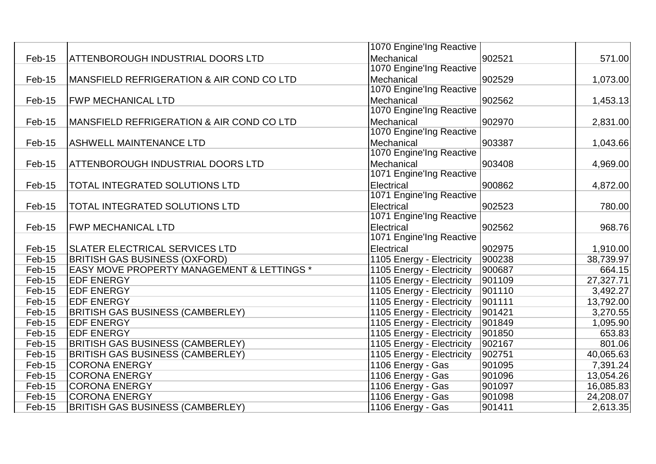|        |                                                       | 1070 Engine'Ing Reactive  |        |           |
|--------|-------------------------------------------------------|---------------------------|--------|-----------|
| Feb-15 | ATTENBOROUGH INDUSTRIAL DOORS LTD                     | Mechanical                | 902521 | 571.00    |
|        |                                                       | 1070 Engine'Ing Reactive  |        |           |
| Feb-15 | MANSFIELD REFRIGERATION & AIR COND CO LTD             | Mechanical                | 902529 | 1,073.00  |
|        |                                                       | 1070 Engine'Ing Reactive  |        |           |
| Feb-15 | <b>FWP MECHANICAL LTD</b>                             | Mechanical                | 902562 | 1,453.13  |
|        |                                                       | 1070 Engine'Ing Reactive  |        |           |
| Feb-15 | <b>IMANSFIELD REFRIGERATION &amp; AIR COND CO LTD</b> | Mechanical                | 902970 | 2,831.00  |
|        |                                                       | 1070 Engine'Ing Reactive  |        |           |
| Feb-15 | <b>ASHWELL MAINTENANCE LTD</b>                        | Mechanical                | 903387 | 1,043.66  |
|        |                                                       | 1070 Engine'Ing Reactive  |        |           |
| Feb-15 | ATTENBOROUGH INDUSTRIAL DOORS LTD                     | Mechanical                | 903408 | 4,969.00  |
|        |                                                       | 1071 Engine'Ing Reactive  |        |           |
| Feb-15 | TOTAL INTEGRATED SOLUTIONS LTD                        | Electrical                | 900862 | 4,872.00  |
|        |                                                       | 1071 Engine'Ing Reactive  |        |           |
| Feb-15 | TOTAL INTEGRATED SOLUTIONS LTD                        | Electrical                | 902523 | 780.00    |
|        |                                                       | 1071 Engine'Ing Reactive  |        |           |
| Feb-15 | <b>FWP MECHANICAL LTD</b>                             | Electrical                | 902562 | 968.76    |
|        |                                                       | 1071 Engine'Ing Reactive  |        |           |
| Feb-15 | <b>SLATER ELECTRICAL SERVICES LTD</b>                 | Electrical                | 902975 | 1,910.00  |
| Feb-15 | <b>BRITISH GAS BUSINESS (OXFORD)</b>                  | 1105 Energy - Electricity | 900238 | 38,739.97 |
| Feb-15 | <b>EASY MOVE PROPERTY MANAGEMENT &amp; LETTINGS *</b> | 1105 Energy - Electricity | 900687 | 664.15    |
| Feb-15 | <b>EDF ENERGY</b>                                     | 1105 Energy - Electricity | 901109 | 27,327.71 |
| Feb-15 | <b>EDF ENERGY</b>                                     | 1105 Energy - Electricity | 901110 | 3,492.27  |
| Feb-15 | <b>EDF ENERGY</b>                                     | 1105 Energy - Electricity | 901111 | 13,792.00 |
| Feb-15 | <b>BRITISH GAS BUSINESS (CAMBERLEY)</b>               | 1105 Energy - Electricity | 901421 | 3,270.55  |
| Feb-15 | <b>EDF ENERGY</b>                                     | 1105 Energy - Electricity | 901849 | 1,095.90  |
| Feb-15 | <b>EDF ENERGY</b>                                     | 1105 Energy - Electricity | 901850 | 653.83    |
| Feb-15 | <b>BRITISH GAS BUSINESS (CAMBERLEY)</b>               | 1105 Energy - Electricity | 902167 | 801.06    |
| Feb-15 | <b>BRITISH GAS BUSINESS (CAMBERLEY)</b>               | 1105 Energy - Electricity | 902751 | 40,065.63 |
| Feb-15 | <b>CORONA ENERGY</b>                                  | 1106 Energy - Gas         | 901095 | 7,391.24  |
| Feb-15 | <b>CORONA ENERGY</b>                                  | 1106 Energy - Gas         | 901096 | 13,054.26 |
| Feb-15 | <b>CORONA ENERGY</b>                                  | 1106 Energy - Gas         | 901097 | 16,085.83 |
| Feb-15 | <b>CORONA ENERGY</b>                                  | 1106 Energy - Gas         | 901098 | 24,208.07 |
| Feb-15 | <b>BRITISH GAS BUSINESS (CAMBERLEY)</b>               | 1106 Energy - Gas         | 901411 | 2,613.35  |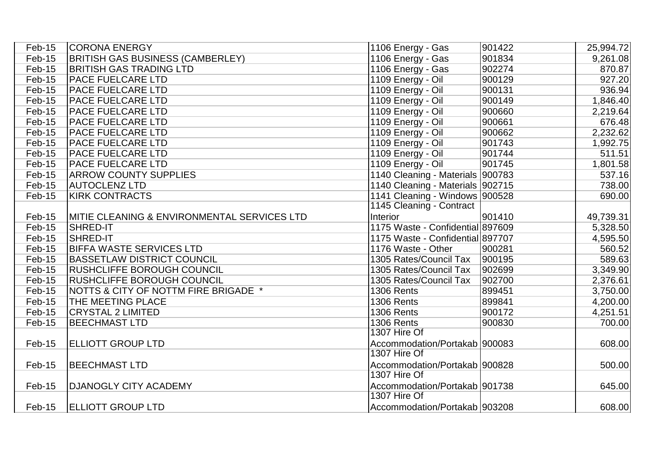| Feb-15   | <b>CORONA ENERGY</b>                            | 1106 Energy - Gas                | 901422 | 25,994.72 |
|----------|-------------------------------------------------|----------------------------------|--------|-----------|
| $Feb-15$ | <b>BRITISH GAS BUSINESS (CAMBERLEY)</b>         | 1106 Energy - Gas                | 901834 | 9,261.08  |
| $Feb-15$ | <b>BRITISH GAS TRADING LTD</b>                  | 1106 Energy - Gas                | 902274 | 870.87    |
| $Feb-15$ | <b>PACE FUELCARE LTD</b>                        | 1109 Energy - Oil                | 900129 | 927.20    |
| Feb-15   | <b>PACE FUELCARE LTD</b>                        | 1109 Energy - Oil                | 900131 | 936.94    |
| $Feb-15$ | <b>PACE FUELCARE LTD</b>                        | 1109 Energy - Oil                | 900149 | 1,846.40  |
| $Feb-15$ | <b>PACE FUELCARE LTD</b>                        | 1109 Energy - Oil                | 900660 | 2,219.64  |
| $Feb-15$ | <b>PACE FUELCARE LTD</b>                        | 1109 Energy - Oil                | 900661 | 676.48    |
| $Feb-15$ | <b>PACE FUELCARE LTD</b>                        | 1109 Energy - Oil                | 900662 | 2,232.62  |
| $Feb-15$ | <b>PACE FUELCARE LTD</b>                        | 1109 Energy - Oil                | 901743 | 1,992.75  |
| $Feb-15$ | <b>PACE FUELCARE LTD</b>                        | 1109 Energy - Oil                | 901744 | 511.51    |
| Feb-15   | <b>PACE FUELCARE LTD</b>                        | 1109 Energy - Oil                | 901745 | 1,801.58  |
| $Feb-15$ | <b>ARROW COUNTY SUPPLIES</b>                    | 1140 Cleaning - Materials 900783 |        | 537.16    |
| $Feb-15$ | <b>AUTOCLENZ LTD</b>                            | 1140 Cleaning - Materials 902715 |        | 738.00    |
| Feb-15   | <b>KIRK CONTRACTS</b>                           | 1141 Cleaning - Windows 900528   |        | 690.00    |
|          |                                                 | 1145 Cleaning - Contract         |        |           |
| Feb-15   | MITIE CLEANING & ENVIRONMENTAL SERVICES LTD     | Interior                         | 901410 | 49,739.31 |
| $Feb-15$ | SHRED-IT                                        | 1175 Waste - Confidential 897609 |        | 5,328.50  |
| $Feb-15$ | <b>SHRED-IT</b>                                 | 1175 Waste - Confidential 897707 |        | 4,595.50  |
| Feb-15   | <b>BIFFA WASTE SERVICES LTD</b>                 | 1176 Waste - Other               | 900281 | 560.52    |
| Feb-15   | <b>BASSETLAW DISTRICT COUNCIL</b>               | 1305 Rates/Council Tax           | 900195 | 589.63    |
| $Feb-15$ | <b>RUSHCLIFFE BOROUGH COUNCIL</b>               | 1305 Rates/Council Tax           | 902699 | 3,349.90  |
| $Feb-15$ | <b>RUSHCLIFFE BOROUGH COUNCIL</b>               | 1305 Rates/Council Tax           | 902700 | 2,376.61  |
| Feb-15   | <b>NOTTS &amp; CITY OF NOTTM FIRE BRIGADE *</b> | <b>1306 Rents</b>                | 899451 | 3,750.00  |
| $Feb-15$ | <b>THE MEETING PLACE</b>                        | <b>1306 Rents</b>                | 899841 | 4,200.00  |
| Feb-15   | <b>CRYSTAL 2 LIMITED</b>                        | <b>1306 Rents</b>                | 900172 | 4,251.51  |
| $Feb-15$ | <b>BEECHMAST LTD</b>                            | <b>1306 Rents</b>                | 900830 | 700.00    |
|          |                                                 | 1307 Hire Of                     |        |           |
| Feb-15   | <b>ELLIOTT GROUP LTD</b>                        | Accommodation/Portakab 900083    |        | 608.00    |
|          |                                                 | 1307 Hire Of                     |        |           |
| Feb-15   | <b>BEECHMAST LTD</b>                            | Accommodation/Portakab 900828    |        | 500.00    |
|          |                                                 | 1307 Hire Of                     |        |           |
| Feb-15   | <b>DJANOGLY CITY ACADEMY</b>                    | Accommodation/Portakab   901738  |        | 645.00    |
|          |                                                 | 1307 Hire Of                     |        |           |
| $Feb-15$ | <b>ELLIOTT GROUP LTD</b>                        | Accommodation/Portakab   903208  |        | 608.00    |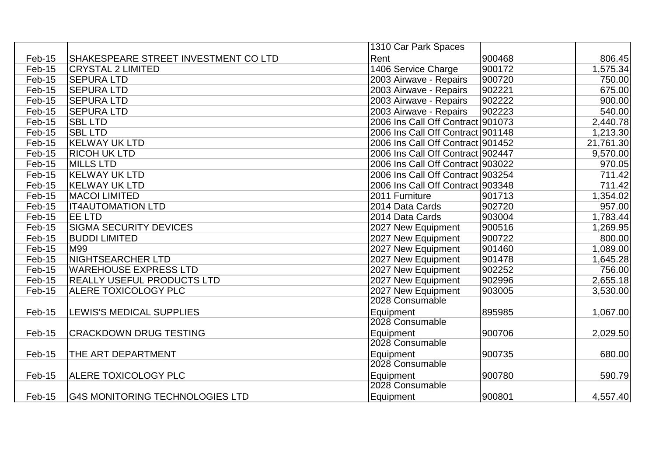|        |                                        | 1310 Car Park Spaces              |        |           |
|--------|----------------------------------------|-----------------------------------|--------|-----------|
| Feb-15 | ISHAKESPEARE STREET INVESTMENT CO LTD  | Rent                              | 900468 | 806.45    |
| Feb-15 | <b>CRYSTAL 2 LIMITED</b>               | 1406 Service Charge               | 900172 | 1,575.34  |
| Feb-15 | <b>SEPURA LTD</b>                      | 2003 Airwave - Repairs            | 900720 | 750.00    |
| Feb-15 | <b>SEPURA LTD</b>                      | 2003 Airwave - Repairs            | 902221 | 675.00    |
| Feb-15 | <b>SEPURA LTD</b>                      | 2003 Airwave - Repairs            | 902222 | 900.00    |
| Feb-15 | <b>SEPURA LTD</b>                      | 2003 Airwave - Repairs            | 902223 | 540.00    |
| Feb-15 | <b>SBL LTD</b>                         | 2006 Ins Call Off Contract 901073 |        | 2,440.78  |
| Feb-15 | <b>SBL LTD</b>                         | 2006 Ins Call Off Contract 901148 |        | 1,213.30  |
| Feb-15 | <b>KELWAY UK LTD</b>                   | 2006 Ins Call Off Contract 901452 |        | 21,761.30 |
| Feb-15 | <b>RICOH UK LTD</b>                    | 2006 Ins Call Off Contract 902447 |        | 9,570.00  |
| Feb-15 | <b>MILLS LTD</b>                       | 2006 Ins Call Off Contract 903022 |        | 970.05    |
| Feb-15 | <b>KELWAY UK LTD</b>                   | 2006 Ins Call Off Contract 903254 |        | 711.42    |
| Feb-15 | <b>KELWAY UK LTD</b>                   | 2006 Ins Call Off Contract 903348 |        | 711.42    |
| Feb-15 | <b>MACOI LIMITED</b>                   | 2011 Furniture                    | 901713 | 1,354.02  |
| Feb-15 | <b>IT4AUTOMATION LTD</b>               | 2014 Data Cards                   | 902720 | 957.00    |
| Feb-15 | <b>JEE LTD</b>                         | 2014 Data Cards                   | 903004 | 1,783.44  |
| Feb-15 | <b>SIGMA SECURITY DEVICES</b>          | 2027 New Equipment                | 900516 | 1,269.95  |
| Feb-15 | <b>BUDDI LIMITED</b>                   | 2027 New Equipment                | 900722 | 800.00    |
| Feb-15 | M99                                    | 2027 New Equipment                | 901460 | 1,089.00  |
| Feb-15 | <b>NIGHTSEARCHER LTD</b>               | 2027 New Equipment                | 901478 | 1,645.28  |
| Feb-15 | WAREHOUSE EXPRESS LTD                  | 2027 New Equipment                | 902252 | 756.00    |
| Feb-15 | <b>REALLY USEFUL PRODUCTS LTD</b>      | 2027 New Equipment                | 902996 | 2,655.18  |
| Feb-15 | <b>ALERE TOXICOLOGY PLC</b>            | 2027 New Equipment                | 903005 | 3,530.00  |
|        |                                        | 2028 Consumable                   |        |           |
| Feb-15 | <b>LEWIS'S MEDICAL SUPPLIES</b>        | Equipment                         | 895985 | 1,067.00  |
|        |                                        | 2028 Consumable                   |        |           |
| Feb-15 | <b>CRACKDOWN DRUG TESTING</b>          | Equipment                         | 900706 | 2,029.50  |
|        |                                        | 2028 Consumable                   |        |           |
| Feb-15 | THE ART DEPARTMENT                     | Equipment                         | 900735 | 680.00    |
|        |                                        | 2028 Consumable                   |        |           |
| Feb-15 | <b>ALERE TOXICOLOGY PLC</b>            | Equipment                         | 900780 | 590.79    |
|        |                                        | 2028 Consumable                   |        |           |
| Feb-15 | <b>G4S MONITORING TECHNOLOGIES LTD</b> | Equipment                         | 900801 | 4,557.40  |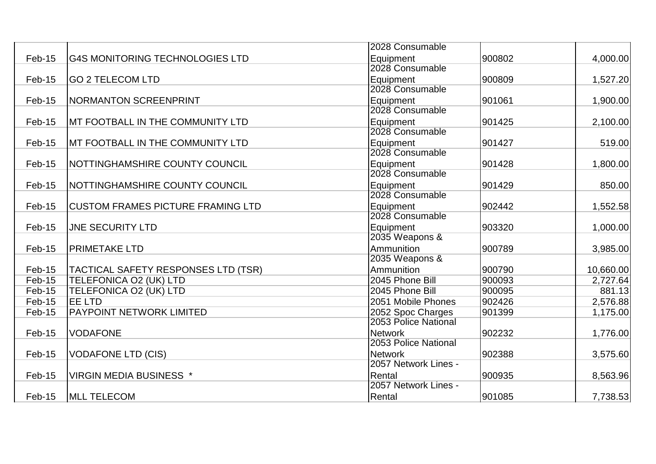|        |                                            | 2028 Consumable      |        |           |
|--------|--------------------------------------------|----------------------|--------|-----------|
| Feb-15 | <b>G4S MONITORING TECHNOLOGIES LTD</b>     | Equipment            | 900802 | 4,000.00  |
|        |                                            | 2028 Consumable      |        |           |
| Feb-15 | <b>GO 2 TELECOM LTD</b>                    | Equipment            | 900809 | 1,527.20  |
|        |                                            | 2028 Consumable      |        |           |
| Feb-15 | <b>NORMANTON SCREENPRINT</b>               | Equipment            | 901061 | 1,900.00  |
|        |                                            | 2028 Consumable      |        |           |
| Feb-15 | MT FOOTBALL IN THE COMMUNITY LTD           | Equipment            | 901425 | 2,100.00  |
|        |                                            | 2028 Consumable      |        |           |
| Feb-15 | MT FOOTBALL IN THE COMMUNITY LTD           | Equipment            | 901427 | 519.00    |
|        |                                            | 2028 Consumable      |        |           |
| Feb-15 | NOTTINGHAMSHIRE COUNTY COUNCIL             | Equipment            | 901428 | 1,800.00  |
|        |                                            | 2028 Consumable      |        |           |
| Feb-15 | NOTTINGHAMSHIRE COUNTY COUNCIL             | Equipment            | 901429 | 850.00    |
|        |                                            | 2028 Consumable      |        |           |
| Feb-15 | <b>CUSTOM FRAMES PICTURE FRAMING LTD</b>   | Equipment            | 902442 | 1,552.58  |
|        |                                            | 2028 Consumable      |        |           |
| Feb-15 | <b>JNE SECURITY LTD</b>                    | Equipment            | 903320 | 1,000.00  |
|        |                                            | 2035 Weapons &       |        |           |
| Feb-15 | <b>PRIMETAKE LTD</b>                       | Ammunition           | 900789 | 3,985.00  |
|        |                                            | 2035 Weapons &       |        |           |
| Feb-15 | <b>TACTICAL SAFETY RESPONSES LTD (TSR)</b> | Ammunition           | 900790 | 10,660.00 |
| Feb-15 | <b>TELEFONICA O2 (UK) LTD</b>              | 2045 Phone Bill      | 900093 | 2,727.64  |
| Feb-15 | TELEFONICA O2 (UK) LTD                     | 2045 Phone Bill      | 900095 | 881.13    |
| Feb-15 | EE LTD                                     | 2051 Mobile Phones   | 902426 | 2,576.88  |
| Feb-15 | PAYPOINT NETWORK LIMITED                   | 2052 Spoc Charges    | 901399 | 1,175.00  |
|        |                                            | 2053 Police National |        |           |
| Feb-15 | <b>VODAFONE</b>                            | Network              | 902232 | 1,776.00  |
|        |                                            | 2053 Police National |        |           |
| Feb-15 | <b>VODAFONE LTD (CIS)</b>                  | <b>Network</b>       | 902388 | 3,575.60  |
|        |                                            | 2057 Network Lines - |        |           |
| Feb-15 | <b>VIRGIN MEDIA BUSINESS *</b>             | Rental               | 900935 | 8,563.96  |
|        |                                            | 2057 Network Lines - |        |           |
| Feb-15 | <b>MLL TELECOM</b>                         | Rental               | 901085 | 7,738.53  |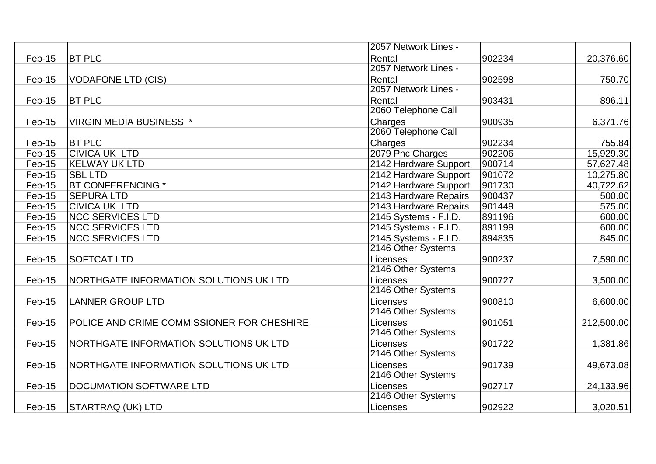|          |                                            | 2057 Network Lines -  |        |            |
|----------|--------------------------------------------|-----------------------|--------|------------|
| Feb-15   | <b>BT PLC</b>                              | Rental                | 902234 | 20,376.60  |
|          |                                            | 2057 Network Lines -  |        |            |
| Feb-15   | <b>VODAFONE LTD (CIS)</b>                  | Rental                | 902598 | 750.70     |
|          |                                            | 2057 Network Lines -  |        |            |
| Feb-15   | <b>BT PLC</b>                              | Rental                | 903431 | 896.11     |
|          |                                            | 2060 Telephone Call   |        |            |
| Feb-15   | <b>VIRGIN MEDIA BUSINESS *</b>             | Charges               | 900935 | 6,371.76   |
|          |                                            | 2060 Telephone Call   |        |            |
| Feb-15   | <b>BT PLC</b>                              | Charges               | 902234 | 755.84     |
| Feb-15   | <b>CIVICA UK LTD</b>                       | 2079 Pnc Charges      | 902206 | 15,929.30  |
| Feb-15   | <b>KELWAY UK LTD</b>                       | 2142 Hardware Support | 900714 | 57,627.48  |
| Feb-15   | <b>SBL LTD</b>                             | 2142 Hardware Support | 901072 | 10,275.80  |
| Feb-15   | <b>BT CONFERENCING *</b>                   | 2142 Hardware Support | 901730 | 40,722.62  |
| Feb-15   | <b>SEPURA LTD</b>                          | 2143 Hardware Repairs | 900437 | 500.00     |
| Feb-15   | <b>CIVICA UK LTD</b>                       | 2143 Hardware Repairs | 901449 | 575.00     |
| Feb-15   | <b>NCC SERVICES LTD</b>                    | 2145 Systems - F.I.D. | 891196 | 600.00     |
| Feb-15   | <b>NCC SERVICES LTD</b>                    | 2145 Systems - F.I.D. | 891199 | 600.00     |
| $Feb-15$ | <b>NCC SERVICES LTD</b>                    | 2145 Systems - F.I.D. | 894835 | 845.00     |
|          |                                            | 2146 Other Systems    |        |            |
| Feb-15   | <b>SOFTCAT LTD</b>                         | Licenses              | 900237 | 7,590.00   |
|          |                                            | 2146 Other Systems    |        |            |
| Feb-15   | NORTHGATE INFORMATION SOLUTIONS UK LTD     | Licenses              | 900727 | 3,500.00   |
|          |                                            | 2146 Other Systems    |        |            |
| Feb-15   | <b>LANNER GROUP LTD</b>                    | Licenses              | 900810 | 6,600.00   |
|          |                                            | 2146 Other Systems    |        |            |
| Feb-15   | POLICE AND CRIME COMMISSIONER FOR CHESHIRE | Licenses              | 901051 | 212,500.00 |
|          |                                            | 2146 Other Systems    |        |            |
| Feb-15   | NORTHGATE INFORMATION SOLUTIONS UK LTD     | Licenses              | 901722 | 1,381.86   |
|          |                                            | 2146 Other Systems    |        |            |
| Feb-15   | NORTHGATE INFORMATION SOLUTIONS UK LTD     | Licenses              | 901739 | 49,673.08  |
|          |                                            | 2146 Other Systems    |        |            |
| Feb-15   | DOCUMATION SOFTWARE LTD                    | Licenses              | 902717 | 24,133.96  |
|          |                                            | 2146 Other Systems    |        |            |
| Feb-15   | STARTRAQ (UK) LTD                          | Licenses              | 902922 | 3,020.51   |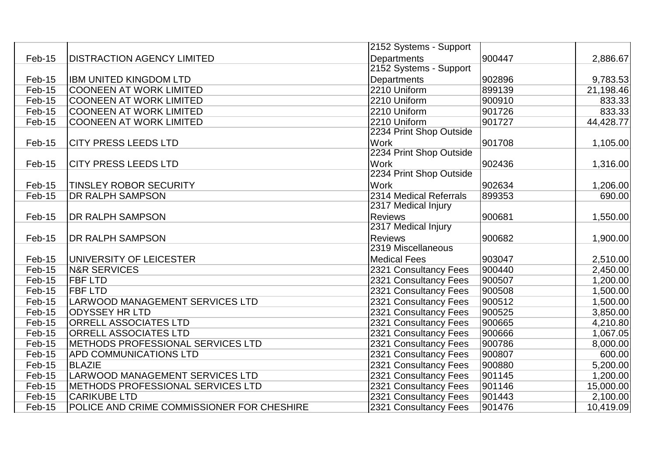|          |                                            | 2152 Systems - Support  |        |           |
|----------|--------------------------------------------|-------------------------|--------|-----------|
| Feb-15   | <b>DISTRACTION AGENCY LIMITED</b>          | Departments             | 900447 | 2,886.67  |
|          |                                            | 2152 Systems - Support  |        |           |
| Feb-15   | <b>IBM UNITED KINGDOM LTD</b>              | Departments             | 902896 | 9,783.53  |
| Feb-15   | <b>COONEEN AT WORK LIMITED</b>             | 2210 Uniform            | 899139 | 21,198.46 |
| $Feb-15$ | <b>COONEEN AT WORK LIMITED</b>             | 2210 Uniform            | 900910 | 833.33    |
| Feb-15   | <b>COONEEN AT WORK LIMITED</b>             | 2210 Uniform            | 901726 | 833.33    |
| Feb-15   | <b>COONEEN AT WORK LIMITED</b>             | 2210 Uniform            | 901727 | 44,428.77 |
|          |                                            | 2234 Print Shop Outside |        |           |
| Feb-15   | <b>CITY PRESS LEEDS LTD</b>                | Work                    | 901708 | 1,105.00  |
|          |                                            | 2234 Print Shop Outside |        |           |
| Feb-15   | <b>CITY PRESS LEEDS LTD</b>                | <b>Work</b>             | 902436 | 1,316.00  |
|          |                                            | 2234 Print Shop Outside |        |           |
| Feb-15   | <b>TINSLEY ROBOR SECURITY</b>              | <b>Work</b>             | 902634 | 1,206.00  |
| Feb-15   | <b>DR RALPH SAMPSON</b>                    | 2314 Medical Referrals  | 899353 | 690.00    |
|          |                                            | 2317 Medical Injury     |        |           |
| Feb-15   | <b>DR RALPH SAMPSON</b>                    | <b>Reviews</b>          | 900681 | 1,550.00  |
|          |                                            | 2317 Medical Injury     |        |           |
| Feb-15   | <b>DR RALPH SAMPSON</b>                    | <b>Reviews</b>          | 900682 | 1,900.00  |
|          |                                            | 2319 Miscellaneous      |        |           |
| Feb-15   | UNIVERSITY OF LEICESTER                    | <b>Medical Fees</b>     | 903047 | 2,510.00  |
| $Feb-15$ | <b>N&amp;R SERVICES</b>                    | 2321 Consultancy Fees   | 900440 | 2,450.00  |
| $Feb-15$ | <b>FBF LTD</b>                             | 2321 Consultancy Fees   | 900507 | 1,200.00  |
| Feb-15   | <b>FBF LTD</b>                             | 2321 Consultancy Fees   | 900508 | 1,500.00  |
| Feb-15   | LARWOOD MANAGEMENT SERVICES LTD            | 2321 Consultancy Fees   | 900512 | 1,500.00  |
| $Feb-15$ | <b>ODYSSEY HR LTD</b>                      | 2321 Consultancy Fees   | 900525 | 3,850.00  |
| Feb-15   | <b>ORRELL ASSOCIATES LTD</b>               | 2321 Consultancy Fees   | 900665 | 4,210.80  |
| Feb-15   | <b>ORRELL ASSOCIATES LTD</b>               | 2321 Consultancy Fees   | 900666 | 1,067.05  |
| $Feb-15$ | METHODS PROFESSIONAL SERVICES LTD          | 2321 Consultancy Fees   | 900786 | 8,000.00  |
| Feb-15   | <b>APD COMMUNICATIONS LTD</b>              | 2321 Consultancy Fees   | 900807 | 600.00    |
| Feb-15   | <b>BLAZIE</b>                              | 2321 Consultancy Fees   | 900880 | 5,200.00  |
| $Feb-15$ | LARWOOD MANAGEMENT SERVICES LTD            | 2321 Consultancy Fees   | 901145 | 1,200.00  |
| Feb-15   | METHODS PROFESSIONAL SERVICES LTD          | 2321 Consultancy Fees   | 901146 | 15,000.00 |
| Feb-15   | <b>CARIKUBE LTD</b>                        | 2321 Consultancy Fees   | 901443 | 2,100.00  |
| Feb-15   | POLICE AND CRIME COMMISSIONER FOR CHESHIRE | 2321 Consultancy Fees   | 901476 | 10,419.09 |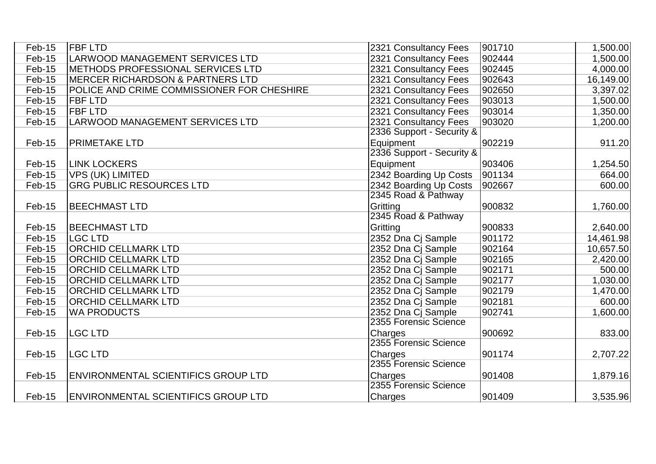| Feb-15 | <b>IFBF LTD</b>                             | 2321 Consultancy Fees     | 901710 | 1,500.00  |
|--------|---------------------------------------------|---------------------------|--------|-----------|
| Feb-15 | <b>LARWOOD MANAGEMENT SERVICES LTD</b>      | 2321 Consultancy Fees     | 902444 | 1,500.00  |
| Feb-15 | METHODS PROFESSIONAL SERVICES LTD           | 2321 Consultancy Fees     | 902445 | 4,000.00  |
| Feb-15 | <b>MERCER RICHARDSON &amp; PARTNERS LTD</b> | 2321 Consultancy Fees     | 902643 | 16,149.00 |
| Feb-15 | POLICE AND CRIME COMMISSIONER FOR CHESHIRE  | 2321 Consultancy Fees     | 902650 | 3,397.02  |
| Feb-15 | <b>FBF LTD</b>                              | 2321 Consultancy Fees     | 903013 | 1,500.00  |
| Feb-15 | <b>FBF LTD</b>                              | 2321 Consultancy Fees     | 903014 | 1,350.00  |
| Feb-15 | LARWOOD MANAGEMENT SERVICES LTD             | 2321 Consultancy Fees     | 903020 | 1,200.00  |
|        |                                             | 2336 Support - Security & |        |           |
| Feb-15 | <b>PRIMETAKE LTD</b>                        | Equipment                 | 902219 | 911.20    |
|        |                                             | 2336 Support - Security & |        |           |
| Feb-15 | <b>LINK LOCKERS</b>                         | Equipment                 | 903406 | 1,254.50  |
| Feb-15 | <b>VPS (UK) LIMITED</b>                     | 2342 Boarding Up Costs    | 901134 | 664.00    |
| Feb-15 | <b>GRG PUBLIC RESOURCES LTD</b>             | 2342 Boarding Up Costs    | 902667 | 600.00    |
|        |                                             | 2345 Road & Pathway       |        |           |
| Feb-15 | <b>BEECHMAST LTD</b>                        | Gritting                  | 900832 | 1,760.00  |
|        |                                             | 2345 Road & Pathway       |        |           |
| Feb-15 | <b>BEECHMAST LTD</b>                        | Gritting                  | 900833 | 2,640.00  |
| Feb-15 | <b>LGC LTD</b>                              | 2352 Dna Cj Sample        | 901172 | 14,461.98 |
| Feb-15 | <b>ORCHID CELLMARK LTD</b>                  | 2352 Dna Cj Sample        | 902164 | 10,657.50 |
| Feb-15 | <b>ORCHID CELLMARK LTD</b>                  | 2352 Dna Cj Sample        | 902165 | 2,420.00  |
| Feb-15 | <b>ORCHID CELLMARK LTD</b>                  | 2352 Dna Cj Sample        | 902171 | 500.00    |
| Feb-15 | <b>ORCHID CELLMARK LTD</b>                  | 2352 Dna Cj Sample        | 902177 | 1,030.00  |
| Feb-15 | <b>ORCHID CELLMARK LTD</b>                  | 2352 Dna Cj Sample        | 902179 | 1,470.00  |
| Feb-15 | <b>ORCHID CELLMARK LTD</b>                  | 2352 Dna Cj Sample        | 902181 | 600.00    |
| Feb-15 | <b>WA PRODUCTS</b>                          | 2352 Dna Cj Sample        | 902741 | 1,600.00  |
|        |                                             | 2355 Forensic Science     |        |           |
| Feb-15 | <b>LGC LTD</b>                              | Charges                   | 900692 | 833.00    |
|        |                                             | 2355 Forensic Science     |        |           |
| Feb-15 | <b>LGC LTD</b>                              | Charges                   | 901174 | 2,707.22  |
|        |                                             | 2355 Forensic Science     |        |           |
| Feb-15 | <b>ENVIRONMENTAL SCIENTIFICS GROUP LTD</b>  | Charges                   | 901408 | 1,879.16  |
|        |                                             | 2355 Forensic Science     |        |           |
| Feb-15 | ENVIRONMENTAL SCIENTIFICS GROUP LTD         | Charges                   | 901409 | 3,535.96  |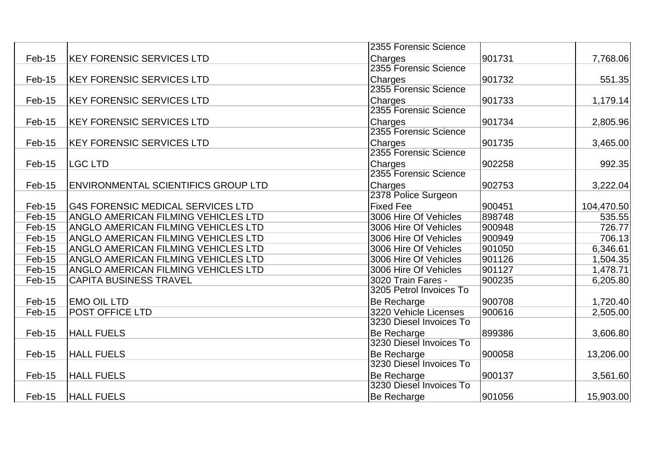|          |                                            | 2355 Forensic Science   |        |            |
|----------|--------------------------------------------|-------------------------|--------|------------|
| Feb-15   | <b>KEY FORENSIC SERVICES LTD</b>           | Charges                 | 901731 | 7,768.06   |
|          |                                            | 2355 Forensic Science   |        |            |
| Feb-15   | <b>KEY FORENSIC SERVICES LTD</b>           | Charges                 | 901732 | 551.35     |
|          |                                            | 2355 Forensic Science   |        |            |
| Feb-15   | <b>KEY FORENSIC SERVICES LTD</b>           | <b>Charges</b>          | 901733 | 1,179.14   |
|          |                                            | 2355 Forensic Science   |        |            |
| Feb-15   | <b>KEY FORENSIC SERVICES LTD</b>           | Charges                 | 901734 | 2,805.96   |
|          |                                            | 2355 Forensic Science   |        |            |
| Feb-15   | <b>KEY FORENSIC SERVICES LTD</b>           | Charges                 | 901735 | 3,465.00   |
|          |                                            | 2355 Forensic Science   |        |            |
| Feb-15   | <b>LGC LTD</b>                             | Charges                 | 902258 | 992.35     |
|          |                                            | 2355 Forensic Science   |        |            |
| Feb-15   | <b>ENVIRONMENTAL SCIENTIFICS GROUP LTD</b> | Charges                 | 902753 | 3,222.04   |
|          |                                            | 2378 Police Surgeon     |        |            |
| Feb-15   | <b>G4S FORENSIC MEDICAL SERVICES LTD</b>   | <b>Fixed Fee</b>        | 900451 | 104,470.50 |
| Feb-15   | ANGLO AMERICAN FILMING VEHICLES LTD        | 3006 Hire Of Vehicles   | 898748 | 535.55     |
| Feb-15   | <b>ANGLO AMERICAN FILMING VEHICLES LTD</b> | 3006 Hire Of Vehicles   | 900948 | 726.77     |
| Feb-15   | <b>ANGLO AMERICAN FILMING VEHICLES LTD</b> | 3006 Hire Of Vehicles   | 900949 | 706.13     |
| Feb-15   | <b>ANGLO AMERICAN FILMING VEHICLES LTD</b> | 3006 Hire Of Vehicles   | 901050 | 6,346.61   |
| Feb-15   | ANGLO AMERICAN FILMING VEHICLES LTD        | 3006 Hire Of Vehicles   | 901126 | 1,504.35   |
| Feb-15   | <b>ANGLO AMERICAN FILMING VEHICLES LTD</b> | 3006 Hire Of Vehicles   | 901127 | 1,478.71   |
| Feb-15   | <b>CAPITA BUSINESS TRAVEL</b>              | 3020 Train Fares -      | 900235 | 6,205.80   |
|          |                                            | 3205 Petrol Invoices To |        |            |
| Feb-15   | <b>EMO OIL LTD</b>                         | Be Recharge             | 900708 | 1,720.40   |
| Feb-15   | POST OFFICE LTD                            | 3220 Vehicle Licenses   | 900616 | 2,505.00   |
|          |                                            | 3230 Diesel Invoices To |        |            |
| Feb-15   | <b>HALL FUELS</b>                          | <b>Be Recharge</b>      | 899386 | 3,606.80   |
|          |                                            | 3230 Diesel Invoices To |        |            |
| Feb-15   | <b>HALL FUELS</b>                          | Be Recharge             | 900058 | 13,206.00  |
|          |                                            | 3230 Diesel Invoices To |        |            |
| Feb-15   | <b>HALL FUELS</b>                          | Be Recharge             | 900137 | 3,561.60   |
|          |                                            | 3230 Diesel Invoices To |        |            |
| $Feb-15$ | <b>HALL FUELS</b>                          | <b>Be Recharge</b>      | 901056 | 15,903.00  |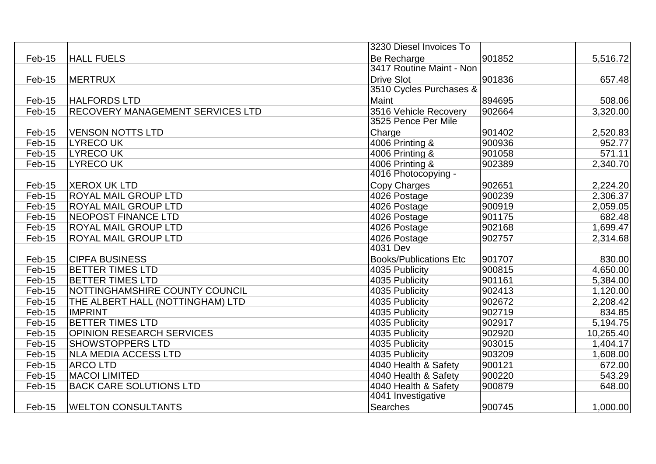|        |                                         | 3230 Diesel Invoices To       |        |           |
|--------|-----------------------------------------|-------------------------------|--------|-----------|
| Feb-15 | <b>HALL FUELS</b>                       | Be Recharge                   | 901852 | 5,516.72  |
|        |                                         | 3417 Routine Maint - Non      |        |           |
| Feb-15 | <b>MERTRUX</b>                          | <b>Drive Slot</b>             | 901836 | 657.48    |
|        |                                         | 3510 Cycles Purchases &       |        |           |
| Feb-15 | <b>HALFORDS LTD</b>                     | Maint                         | 894695 | 508.06    |
| Feb-15 | <b>RECOVERY MANAGEMENT SERVICES LTD</b> | 3516 Vehicle Recovery         | 902664 | 3,320.00  |
|        |                                         | 3525 Pence Per Mile           |        |           |
| Feb-15 | <b>VENSON NOTTS LTD</b>                 | Charge                        | 901402 | 2,520.83  |
| Feb-15 | <b>LYRECOUK</b>                         | 4006 Printing &               | 900936 | 952.77    |
| Feb-15 | <b>LYRECOUK</b>                         | 4006 Printing &               | 901058 | 571.11    |
| Feb-15 | <b>LYRECO UK</b>                        | 4006 Printing &               | 902389 | 2,340.70  |
|        |                                         | 4016 Photocopying -           |        |           |
| Feb-15 | <b>XEROX UK LTD</b>                     | <b>Copy Charges</b>           | 902651 | 2,224.20  |
| Feb-15 | <b>ROYAL MAIL GROUP LTD</b>             | 4026 Postage                  | 900239 | 2,306.37  |
| Feb-15 | <b>ROYAL MAIL GROUP LTD</b>             | 4026 Postage                  | 900919 | 2,059.05  |
| Feb-15 | <b>INEOPOST FINANCE LTD</b>             | 4026 Postage                  | 901175 | 682.48    |
| Feb-15 | <b>ROYAL MAIL GROUP LTD</b>             | 4026 Postage                  | 902168 | 1,699.47  |
| Feb-15 | <b>ROYAL MAIL GROUP LTD</b>             | 4026 Postage                  | 902757 | 2,314.68  |
|        |                                         | 4031 Dev                      |        |           |
| Feb-15 | <b>CIPFA BUSINESS</b>                   | <b>Books/Publications Etc</b> | 901707 | 830.00    |
| Feb-15 | <b>BETTER TIMES LTD</b>                 | 4035 Publicity                | 900815 | 4,650.00  |
| Feb-15 | <b>BETTER TIMES LTD</b>                 | 4035 Publicity                | 901161 | 5,384.00  |
| Feb-15 | NOTTINGHAMSHIRE COUNTY COUNCIL          | 4035 Publicity                | 902413 | 1,120.00  |
| Feb-15 | THE ALBERT HALL (NOTTINGHAM) LTD        | 4035 Publicity                | 902672 | 2,208.42  |
| Feb-15 | <b>IMPRINT</b>                          | 4035 Publicity                | 902719 | 834.85    |
| Feb-15 | <b>BETTER TIMES LTD</b>                 | 4035 Publicity                | 902917 | 5,194.75  |
| Feb-15 | <b>OPINION RESEARCH SERVICES</b>        | 4035 Publicity                | 902920 | 10,265.40 |
| Feb-15 | <b>SHOWSTOPPERS LTD</b>                 | 4035 Publicity                | 903015 | 1,404.17  |
| Feb-15 | <b>NLA MEDIA ACCESS LTD</b>             | 4035 Publicity                | 903209 | 1,608.00  |
| Feb-15 | <b>ARCOLTD</b>                          | 4040 Health & Safety          | 900121 | 672.00    |
| Feb-15 | <b>MACOI LIMITED</b>                    | 4040 Health & Safety          | 900220 | 543.29    |
| Feb-15 | <b>BACK CARE SOLUTIONS LTD</b>          | 4040 Health & Safety          | 900879 | 648.00    |
|        |                                         | 4041 Investigative            |        |           |
| Feb-15 | <b>WELTON CONSULTANTS</b>               | <b>Searches</b>               | 900745 | 1,000.00  |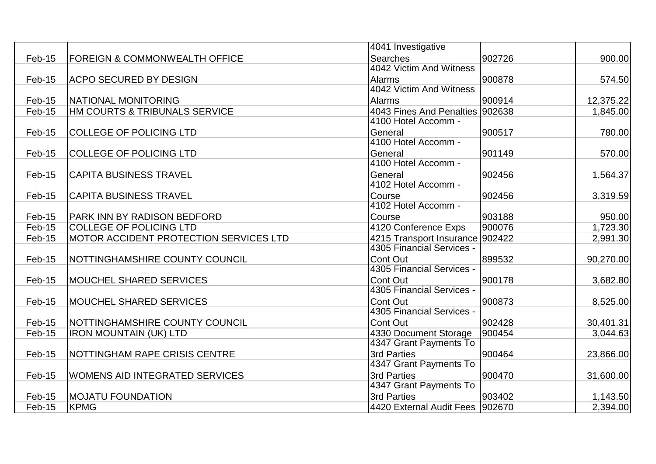|        |                                               | 4041 Investigative              |        |           |
|--------|-----------------------------------------------|---------------------------------|--------|-----------|
| Feb-15 | <b>FOREIGN &amp; COMMONWEALTH OFFICE</b>      | Searches                        | 902726 | 900.00    |
|        |                                               | 4042 Victim And Witness         |        |           |
| Feb-15 | <b>ACPO SECURED BY DESIGN</b>                 | <b>Alarms</b>                   | 900878 | 574.50    |
|        |                                               | 4042 Victim And Witness         |        |           |
| Feb-15 | NATIONAL MONITORING                           | <b>Alarms</b>                   | 900914 | 12,375.22 |
| Feb-15 | HM COURTS & TRIBUNALS SERVICE                 | 4043 Fines And Penalties 902638 |        | 1,845.00  |
|        |                                               | 4100 Hotel Accomm -             |        |           |
| Feb-15 | <b>COLLEGE OF POLICING LTD</b>                | General                         | 900517 | 780.00    |
|        |                                               | 4100 Hotel Accomm -             |        |           |
| Feb-15 | <b>COLLEGE OF POLICING LTD</b>                | General                         | 901149 | 570.00    |
|        |                                               | 4100 Hotel Accomm -             |        |           |
| Feb-15 | <b>CAPITA BUSINESS TRAVEL</b>                 | General                         | 902456 | 1,564.37  |
|        |                                               | 4102 Hotel Accomm -             |        |           |
| Feb-15 | <b>CAPITA BUSINESS TRAVEL</b>                 | Course                          | 902456 | 3,319.59  |
|        |                                               | 4102 Hotel Accomm -             |        |           |
| Feb-15 | <b>PARK INN BY RADISON BEDFORD</b>            | Course                          | 903188 | 950.00    |
| Feb-15 | <b>COLLEGE OF POLICING LTD</b>                | 4120 Conference Exps            | 900076 | 1,723.30  |
| Feb-15 | <b>MOTOR ACCIDENT PROTECTION SERVICES LTD</b> | 4215 Transport Insurance 902422 |        | 2,991.30  |
|        |                                               | 4305 Financial Services -       |        |           |
| Feb-15 | NOTTINGHAMSHIRE COUNTY COUNCIL                | Cont Out                        | 899532 | 90,270.00 |
|        |                                               | 4305 Financial Services -       |        |           |
| Feb-15 | <b>MOUCHEL SHARED SERVICES</b>                | Cont Out                        | 900178 | 3,682.80  |
|        |                                               | 4305 Financial Services -       |        |           |
| Feb-15 | <b>MOUCHEL SHARED SERVICES</b>                | Cont Out                        | 900873 | 8,525.00  |
|        |                                               | 4305 Financial Services -       |        |           |
| Feb-15 | NOTTINGHAMSHIRE COUNTY COUNCIL                | Cont Out                        | 902428 | 30,401.31 |
| Feb-15 | <b>IRON MOUNTAIN (UK) LTD</b>                 | 4330 Document Storage           | 900454 | 3,044.63  |
|        |                                               | 4347 Grant Payments To          |        |           |
| Feb-15 | NOTTINGHAM RAPE CRISIS CENTRE                 | 3rd Parties                     | 900464 | 23,866.00 |
|        |                                               | 4347 Grant Payments To          |        |           |
| Feb-15 | <b>WOMENS AID INTEGRATED SERVICES</b>         | 3rd Parties                     | 900470 | 31,600.00 |
|        |                                               | 4347 Grant Payments To          |        |           |
| Feb-15 | <b>MOJATU FOUNDATION</b>                      | 3rd Parties                     | 903402 | 1,143.50  |
| Feb-15 | <b>KPMG</b>                                   | 4420 External Audit Fees 902670 |        | 2,394.00  |